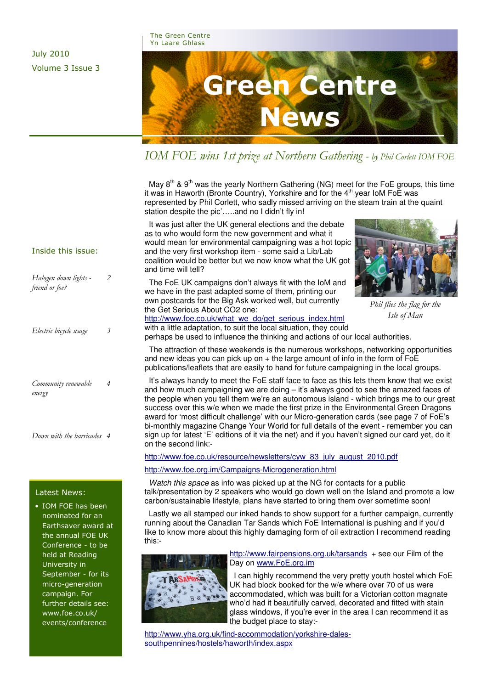#### The Green Centre Yn Laare Ghlass

July 2010 Volume 3 Issue 3



IOM FOE wins 1st prize at Northern Gathering - by Phil Corlett IOM FOE

May  $8<sup>th</sup>$  &  $9<sup>th</sup>$  was the yearly Northern Gathering (NG) meet for the FoE groups, this time it was in Haworth (Bronte Country), Yorkshire and for the 4<sup>th</sup> year IoM FoE was represented by Phil Corlett, who sadly missed arriving on the steam train at the quaint station despite the pic'…..and no I didn't fly in!

 It was just after the UK general elections and the debate as to who would form the new government and what it would mean for environmental campaigning was a hot topic and the very first workshop item - some said a Lib/Lab coalition would be better but we now know what the UK got and time will tell?

 The FoE UK campaigns don't always fit with the IoM and we have in the past adapted some of them, printing our own postcards for the Big Ask worked well, but currently the Get Serious About CO2 one:



Phil flies the flag for the Isle of Man

http://www.foe.co.uk/what\_we\_do/get\_serious\_index.html with a little adaptation, to suit the local situation, they could

perhaps be used to influence the thinking and actions of our local authorities.

 The attraction of these weekends is the numerous workshops, networking opportunities and new ideas you can pick up on  $+$  the large amount of info in the form of FoE publications/leaflets that are easily to hand for future campaigning in the local groups.

 It's always handy to meet the FoE staff face to face as this lets them know that we exist and how much campaigning we are doing – it's always good to see the amazed faces of the people when you tell them we're an autonomous island - which brings me to our great success over this w/e when we made the first prize in the Environmental Green Dragons award for 'most difficult challenge' with our Micro-generation cards (see page 7 of FoE's bi-monthly magazine Change Your World for full details of the event - remember you can sign up for latest 'E' editions of it via the net) and if you haven't signed our card yet, do it on the second link:-

http://www.foe.co.uk/resource/newsletters/cyw\_83\_july\_august\_2010.pdf

### http://www.foe.org.im/Campaigns-Microgeneration.html

Watch this space as info was picked up at the NG for contacts for a public talk/presentation by 2 speakers who would go down well on the Island and promote a low carbon/sustainable lifestyle, plans have started to bring them over sometime soon!

like to know more about this highly damaging form of oil extraction I recommend reading Lastly we all stamped our inked hands to show support for a further campaign, currently running about the Canadian Tar Sands which FoE International is pushing and if you'd this:-



http://www.fairpensions.org.uk/tarsands + see our Film of the Day on www.FoE.org.im

 I can highly recommend the very pretty youth hostel which FoE UK had block booked for the w/e where over 70 of us were accommodated, which was built for a Victorian cotton magnate who'd had it beautifully carved, decorated and fitted with stain glass windows, if you're ever in the area I can recommend it as the budget place to stay:-

http://www.yha.org.uk/find-accommodation/yorkshire-dalessouthpennines/hostels/haworth/index.aspx

### Inside this issue:

| Halogen down lights -<br>friend or foe? | 2 |
|-----------------------------------------|---|
| Electric bicycle usage                  | 3 |
| Community renewable<br>energy           | 4 |

Down with the barricades 4

### Latest News:

• IOM FOE has been nominated for an Earthsaver award at the annual FOE UK Conference - to be held at Reading University in September - for its micro-generation campaign. For further details see: www.foe.co.uk/ events/conference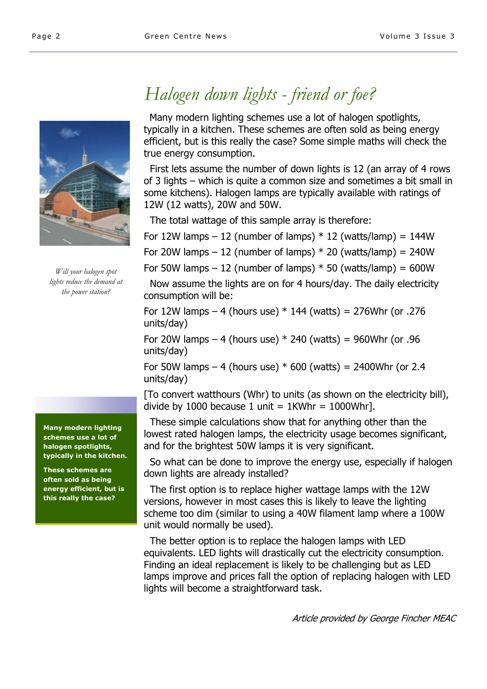

Will your halogen spot lights reduce the demand at the power station?

Many modern lighting schemes use a lot of halogen spotlights, typically in the kitchen.

These schemes are often sold as being energy efficient, but is this really the case?

# Halogen down lights - friend or foe?

 Many modern lighting schemes use a lot of halogen spotlights, typically in a kitchen. These schemes are often sold as being energy efficient, but is this really the case? Some simple maths will check the true energy consumption.

 First lets assume the number of down lights is 12 (an array of 4 rows of 3 lights – which is quite a common size and sometimes a bit small in some kitchens). Halogen lamps are typically available with ratings of 12W (12 watts), 20W and 50W.

The total wattage of this sample array is therefore:

For 12W lamps – 12 (number of lamps)  $*$  12 (watts/lamp) = 144W

For 20W lamps  $-12$  (number of lamps)  $*$  20 (watts/lamp) = 240W

For 50W lamps – 12 (number of lamps)  $*$  50 (watts/lamp) = 600W

 Now assume the lights are on for 4 hours/day. The daily electricity consumption will be:

For 12W lamps – 4 (hours use)  $*$  144 (watts) = 276Whr (or .276 units/day)

For 20W lamps – 4 (hours use)  $*$  240 (watts) = 960Whr (or .96 units/day)

For 50W lamps – 4 (hours use)  $*$  600 (watts) = 2400Whr (or 2.4 units/day)

[To convert watthours (Whr) to units (as shown on the electricity bill), divide by 1000 because 1 unit =  $1$ KWhr = 1000Whr].

 These simple calculations show that for anything other than the lowest rated halogen lamps, the electricity usage becomes significant, and for the brightest 50W lamps it is very significant.

 So what can be done to improve the energy use, especially if halogen down lights are already installed?

 The first option is to replace higher wattage lamps with the 12W versions, however in most cases this is likely to leave the lighting scheme too dim (similar to using a 40W filament lamp where a 100W unit would normally be used).

 The better option is to replace the halogen lamps with LED equivalents. LED lights will drastically cut the electricity consumption. Finding an ideal replacement is likely to be challenging but as LED lamps improve and prices fall the option of replacing halogen with LED lights will become a straightforward task.

Article provided by George Fincher MEAC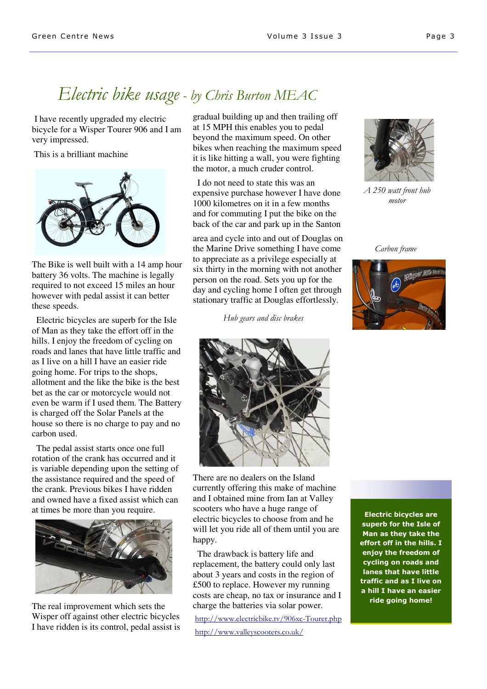## Electric bike usage - by Chris Burton MEAC

I have recently upgraded my electric bicycle for a Wisper Tourer 906 and I am very impressed.

This is a brilliant machine



The Bike is well built with a 14 amp hour battery 36 volts. The machine is legally required to not exceed 15 miles an hour however with pedal assist it can better these speeds.

 Electric bicycles are superb for the Isle of Man as they take the effort off in the hills. I enjoy the freedom of cycling on roads and lanes that have little traffic and as I live on a hill I have an easier ride going home. For trips to the shops, allotment and the like the bike is the best bet as the car or motorcycle would not even be warm if I used them. The Battery is charged off the Solar Panels at the house so there is no charge to pay and no carbon used.

 The pedal assist starts once one full rotation of the crank has occurred and it is variable depending upon the setting of the assistance required and the speed of the crank. Previous bikes I have ridden and owned have a fixed assist which can at times be more than you require.



The real improvement which sets the Wisper off against other electric bicycles I have ridden is its control, pedal assist is gradual building up and then trailing off at 15 MPH this enables you to pedal beyond the maximum speed. On other bikes when reaching the maximum speed it is like hitting a wall, you were fighting the motor, a much cruder control.

 I do not need to state this was an expensive purchase however I have done 1000 kilometres on it in a few months and for commuting I put the bike on the back of the car and park up in the Santon

area and cycle into and out of Douglas on the Marine Drive something I have come to appreciate as a privilege especially at six thirty in the morning with not another person on the road. Sets you up for the day and cycling home I often get through stationary traffic at Douglas effortlessly.

Hub gears and disc brakes



There are no dealers on the Island currently offering this make of machine and I obtained mine from Ian at Valley scooters who have a huge range of electric bicycles to choose from and he will let you ride all of them until you are happy.

 The drawback is battery life and replacement, the battery could only last about 3 years and costs in the region of £500 to replace. However my running costs are cheap, no tax or insurance and I charge the batteries via solar power.

http://www.electricbike.tv/906xc-Tourer.php http://www.valleyscooters.co.uk/

A 250 watt front hub motor

Carbon frame



Electric bicycles are superb for the Isle of Man as they take the effort off in the hills. I enjoy the freedom of cycling on roads and lanes that have little traffic and as I live on a hill I have an easier ride going home!